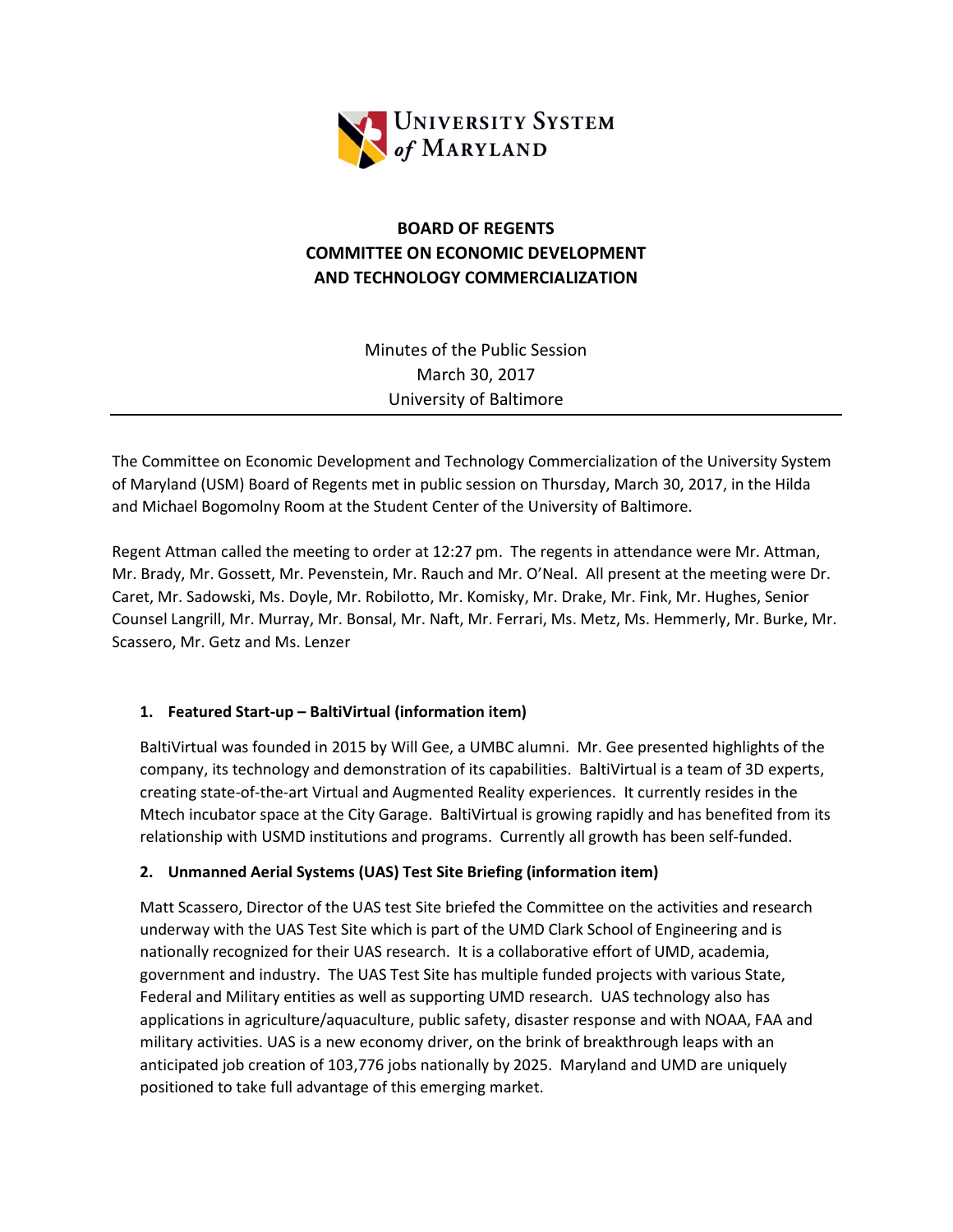

# BOARD OF REGENTS COMMITTEE ON ECONOMIC DEVELOPMENT AND TECHNOLOGY COMMERCIALIZATION

Minutes of the Public Session March 30, 2017 University of Baltimore

The Committee on Economic Development and Technology Commercialization of the University System of Maryland (USM) Board of Regents met in public session on Thursday, March 30, 2017, in the Hilda and Michael Bogomolny Room at the Student Center of the University of Baltimore.

Regent Attman called the meeting to order at 12:27 pm. The regents in attendance were Mr. Attman, Mr. Brady, Mr. Gossett, Mr. Pevenstein, Mr. Rauch and Mr. O'Neal. All present at the meeting were Dr. Caret, Mr. Sadowski, Ms. Doyle, Mr. Robilotto, Mr. Komisky, Mr. Drake, Mr. Fink, Mr. Hughes, Senior Counsel Langrill, Mr. Murray, Mr. Bonsal, Mr. Naft, Mr. Ferrari, Ms. Metz, Ms. Hemmerly, Mr. Burke, Mr. Scassero, Mr. Getz and Ms. Lenzer

## 1. Featured Start-up – BaltiVirtual (information item)

BaltiVirtual was founded in 2015 by Will Gee, a UMBC alumni. Mr. Gee presented highlights of the company, its technology and demonstration of its capabilities. BaltiVirtual is a team of 3D experts, creating state-of-the-art Virtual and Augmented Reality experiences. It currently resides in the Mtech incubator space at the City Garage. BaltiVirtual is growing rapidly and has benefited from its relationship with USMD institutions and programs. Currently all growth has been self-funded.

## 2. Unmanned Aerial Systems (UAS) Test Site Briefing (information item)

Matt Scassero, Director of the UAS test Site briefed the Committee on the activities and research underway with the UAS Test Site which is part of the UMD Clark School of Engineering and is nationally recognized for their UAS research. It is a collaborative effort of UMD, academia, government and industry. The UAS Test Site has multiple funded projects with various State, Federal and Military entities as well as supporting UMD research. UAS technology also has applications in agriculture/aquaculture, public safety, disaster response and with NOAA, FAA and military activities. UAS is a new economy driver, on the brink of breakthrough leaps with an anticipated job creation of 103,776 jobs nationally by 2025. Maryland and UMD are uniquely positioned to take full advantage of this emerging market.